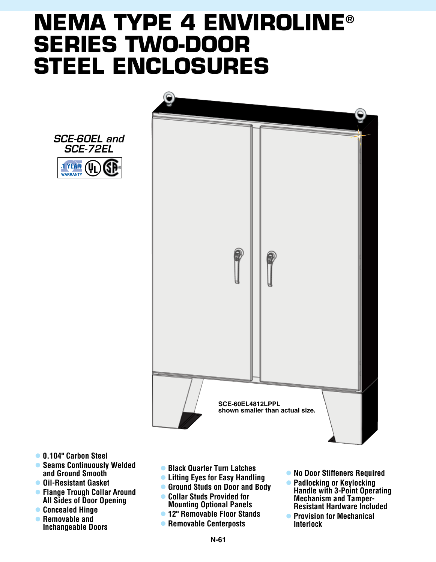## **NEMA type 4 enviroline® series two-door steel enclosures**



*SCE-60EL and SCE-72EL* 1 YEAR (U **WARRANTY** 

- l **0.104" Carbon Steel**
- **Seams Continuously Welded and Ground Smooth**
- $\bullet$  **Oil-Resistant Gasket**
- **Flange Trough Collar Around All Sides of Door Opening**
- **Concealed Hinge**
- **Removable and Inchangeable Doors**
- **Black Quarter Turn Latches**
- **Lifting Eyes for Easy Handling**
- **Ground Studs on Door and Body**
- l **Collar Studs Provided for Mounting Optional Panels**
- l **12" Removable Floor Stands**
- **Removable Centerposts**
- **No Door Stiffeners Required**
- **Padlocking or Keylocking Handle with 3-Point Operating Mechanism and Tamper-Resistant Hardware Included**
- **Provision for Mechanical Interlock**